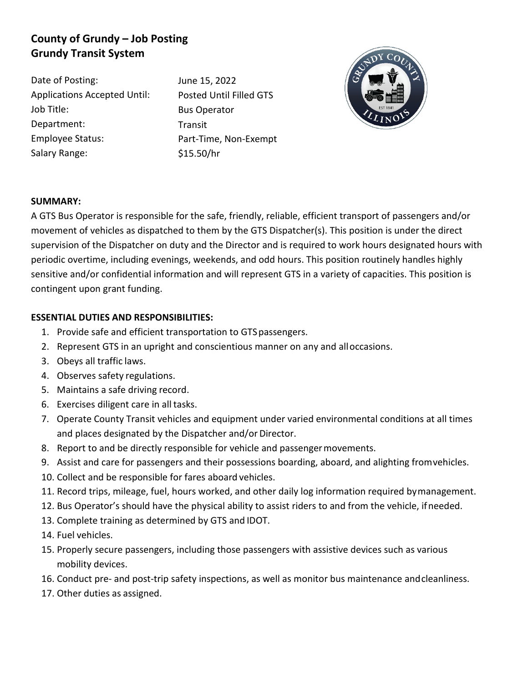# **County of Grundy – Job Posting Grundy Transit System**

Date of Posting: Applications Accepted Until: Job Title: Department: Employee Status: Salary Range:

June 15, 2022 Posted Until Filled GTS Bus Operator Transit Part-Time, Non-Exempt \$15.50/hr



## **SUMMARY:**

A GTS Bus Operator is responsible for the safe, friendly, reliable, efficient transport of passengers and/or movement of vehicles as dispatched to them by the GTS Dispatcher(s). This position is under the direct supervision of the Dispatcher on duty and the Director and is required to work hours designated hours with periodic overtime, including evenings, weekends, and odd hours. This position routinely handles highly sensitive and/or confidential information and will represent GTS in a variety of capacities. This position is contingent upon grant funding.

## **ESSENTIAL DUTIES AND RESPONSIBILITIES:**

- 1. Provide safe and efficient transportation to GTSpassengers.
- 2. Represent GTS in an upright and conscientious manner on any and alloccasions.
- 3. Obeys all traffic laws.
- 4. Observes safety regulations.
- 5. Maintains a safe driving record.
- 6. Exercises diligent care in all tasks.
- 7. Operate County Transit vehicles and equipment under varied environmental conditions at all times and places designated by the Dispatcher and/or Director.
- 8. Report to and be directly responsible for vehicle and passengermovements.
- 9. Assist and care for passengers and their possessions boarding, aboard, and alighting fromvehicles.
- 10. Collect and be responsible for fares aboard vehicles.
- 11. Record trips, mileage, fuel, hours worked, and other daily log information required bymanagement.
- 12. Bus Operator's should have the physical ability to assist riders to and from the vehicle, ifneeded.
- 13. Complete training as determined by GTS and IDOT.
- 14. Fuel vehicles.
- 15. Properly secure passengers, including those passengers with assistive devices such as various mobility devices.
- 16. Conduct pre- and post-trip safety inspections, as well as monitor bus maintenance andcleanliness.
- 17. Other duties as assigned.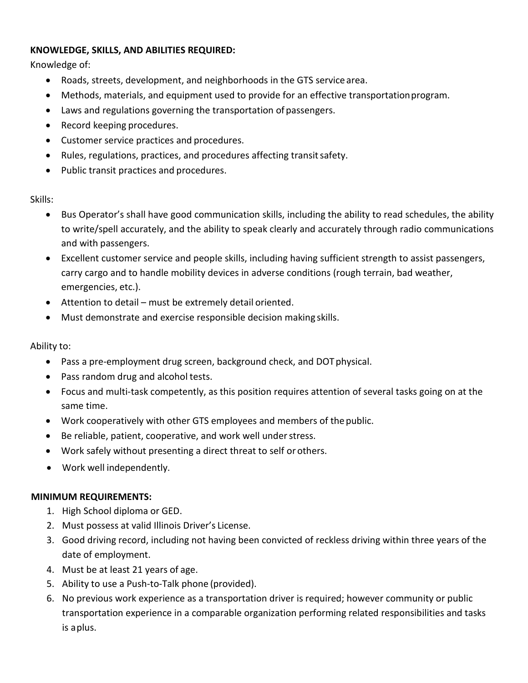#### **KNOWLEDGE, SKILLS, AND ABILITIES REQUIRED:**

Knowledge of:

- Roads, streets, development, and neighborhoods in the GTS service area.
- Methods, materials, and equipment used to provide for an effective transportationprogram.
- Laws and regulations governing the transportation of passengers.
- Record keeping procedures.
- Customer service practices and procedures.
- Rules, regulations, practices, and procedures affecting transitsafety.
- Public transit practices and procedures.

Skills:

- Bus Operator's shall have good communication skills, including the ability to read schedules, the ability to write/spell accurately, and the ability to speak clearly and accurately through radio communications and with passengers.
- Excellent customer service and people skills, including having sufficient strength to assist passengers, carry cargo and to handle mobility devices in adverse conditions (rough terrain, bad weather, emergencies, etc.).
- Attention to detail must be extremely detail oriented.
- Must demonstrate and exercise responsible decision making skills.

Ability to:

- Pass a pre-employment drug screen, background check, and DOT physical.
- Pass random drug and alcohol tests.
- Focus and multi-task competently, as this position requires attention of several tasks going on at the same time.
- Work cooperatively with other GTS employees and members of thepublic.
- Be reliable, patient, cooperative, and work well understress.
- Work safely without presenting a direct threat to self or others.
- Work well independently.

## **MINIMUM REQUIREMENTS:**

- 1. High School diploma or GED.
- 2. Must possess at valid Illinois Driver's License.
- 3. Good driving record, including not having been convicted of reckless driving within three years of the date of employment.
- 4. Must be at least 21 years of age.
- 5. Ability to use a Push-to-Talk phone (provided).
- 6. No previous work experience as a transportation driver is required; however community or public transportation experience in a comparable organization performing related responsibilities and tasks is aplus.